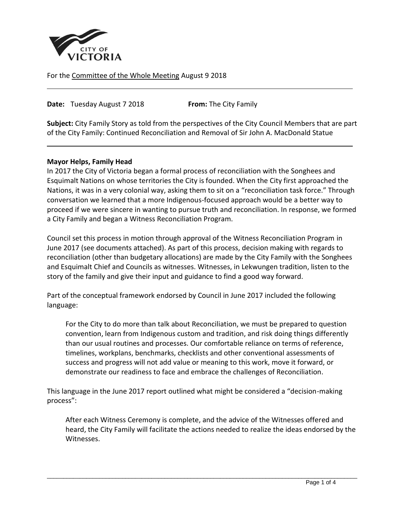

For the Committee of the Whole Meeting August 9 2018

**Date:** Tuesday August 7 2018 **From:** The City Family

**Subject:** City Family Story as told from the perspectives of the City Council Members that are part of the City Family: Continued Reconciliation and Removal of Sir John A. MacDonald Statue

#### **Mayor Helps, Family Head**

In 2017 the City of Victoria began a formal process of reconciliation with the Songhees and Esquimalt Nations on whose territories the City is founded. When the City first approached the Nations, it was in a very colonial way, asking them to sit on a "reconciliation task force." Through conversation we learned that a more Indigenous-focused approach would be a better way to proceed if we were sincere in wanting to pursue truth and reconciliation. In response, we formed a City Family and began a Witness Reconciliation Program.

Council set this process in motion through approval of the Witness Reconciliation Program in June 2017 (see documents attached). As part of this process, decision making with regards to reconciliation (other than budgetary allocations) are made by the City Family with the Songhees and Esquimalt Chief and Councils as witnesses. Witnesses, in Lekwungen tradition, listen to the story of the family and give their input and guidance to find a good way forward.

Part of the conceptual framework endorsed by Council in June 2017 included the following language:

For the City to do more than talk about Reconciliation, we must be prepared to question convention, learn from Indigenous custom and tradition, and risk doing things differently than our usual routines and processes. Our comfortable reliance on terms of reference, timelines, workplans, benchmarks, checklists and other conventional assessments of success and progress will not add value or meaning to this work, move it forward, or demonstrate our readiness to face and embrace the challenges of Reconciliation.

This language in the June 2017 report outlined what might be considered a "decision-making process":

After each Witness Ceremony is complete, and the advice of the Witnesses offered and heard, the City Family will facilitate the actions needed to realize the ideas endorsed by the Witnesses.

 $\overline{a}$  , and the state of the state of the state of the state of the state of the state of the state of the state of the state of the state of the state of the state of the state of the state of the state of the state o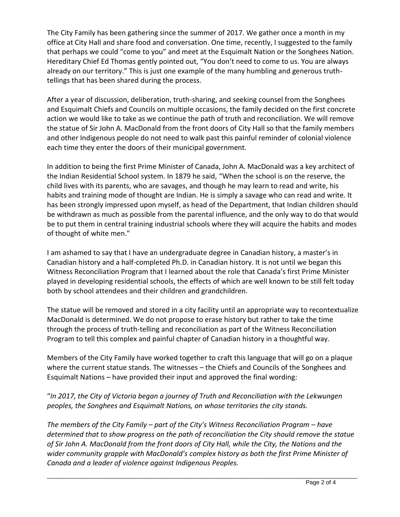The City Family has been gathering since the summer of 2017. We gather once a month in my office at City Hall and share food and conversation. One time, recently, I suggested to the family that perhaps we could "come to you" and meet at the Esquimalt Nation or the Songhees Nation. Hereditary Chief Ed Thomas gently pointed out, "You don't need to come to us. You are always already on our territory." This is just one example of the many humbling and generous truthtellings that has been shared during the process.

After a year of discussion, deliberation, truth-sharing, and seeking counsel from the Songhees and Esquimalt Chiefs and Councils on multiple occasions, the family decided on the first concrete action we would like to take as we continue the path of truth and reconciliation. We will remove the statue of Sir John A. MacDonald from the front doors of City Hall so that the family members and other Indigenous people do not need to walk past this painful reminder of colonial violence each time they enter the doors of their municipal government.

In addition to being the first Prime Minister of Canada, John A. MacDonald was a key architect of the Indian Residential School system. In 1879 he said, "When the school is on the reserve, the child lives with its parents, who are savages, and though he may learn to read and write, his habits and training mode of thought are Indian. He is simply a savage who can read and write. It has been strongly impressed upon myself, as head of the Department, that Indian children should be withdrawn as much as possible from the parental influence, and the only way to do that would be to put them in central training industrial schools where they will acquire the habits and modes of thought of white men."

I am ashamed to say that I have an undergraduate degree in Canadian history, a master's in Canadian history and a half-completed Ph.D. in Canadian history. It is not until we began this Witness Reconciliation Program that I learned about the role that Canada's first Prime Minister played in developing residential schools, the effects of which are well known to be still felt today both by school attendees and their children and grandchildren.

The statue will be removed and stored in a city facility until an appropriate way to recontextualize MacDonald is determined. We do not propose to erase history but rather to take the time through the process of truth-telling and reconciliation as part of the Witness Reconciliation Program to tell this complex and painful chapter of Canadian history in a thoughtful way.

Members of the City Family have worked together to craft this language that will go on a plaque where the current statue stands. The witnesses – the Chiefs and Councils of the Songhees and Esquimalt Nations – have provided their input and approved the final wording:

"*In 2017, the City of Victoria began a journey of Truth and Reconciliation with the Lekwungen peoples, the Songhees and Esquimalt Nations, on whose territories the city stands.* 

*The members of the City Family – part of the City's Witness Reconciliation Program – have determined that to show progress on the path of reconciliation the City should remove the statue of Sir John A. MacDonald from the front doors of City Hall, while the City, the Nations and the wider community grapple with MacDonald's complex history as both the first Prime Minister of Canada and a leader of violence against Indigenous Peoples.*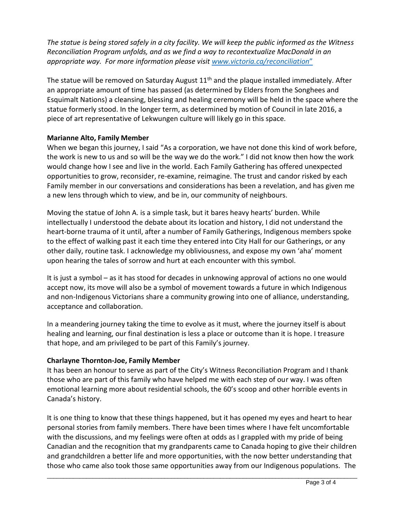*The statue is being stored safely in a city facility. We will keep the public informed as the Witness Reconciliation Program unfolds, and as we find a way to recontextualize MacDonald in an appropriate way. For more information please visit www.victoria.ca/reconciliation*"

The statue will be removed on Saturday August  $11<sup>th</sup>$  and the plaque installed immediately. After an appropriate amount of time has passed (as determined by Elders from the Songhees and Esquimalt Nations) a cleansing, blessing and healing ceremony will be held in the space where the statue formerly stood. In the longer term, as determined by motion of Council in late 2016, a piece of art representative of Lekwungen culture will likely go in this space.

## **Marianne Alto, Family Member**

When we began this journey, I said "As a corporation, we have not done this kind of work before, the work is new to us and so will be the way we do the work." I did not know then how the work would change how I see and live in the world. Each Family Gathering has offered unexpected opportunities to grow, reconsider, re-examine, reimagine. The trust and candor risked by each Family member in our conversations and considerations has been a revelation, and has given me a new lens through which to view, and be in, our community of neighbours.

Moving the statue of John A. is a simple task, but it bares heavy hearts' burden. While intellectually I understood the debate about its location and history, I did not understand the heart-borne trauma of it until, after a number of Family Gatherings, Indigenous members spoke to the effect of walking past it each time they entered into City Hall for our Gatherings, or any other daily, routine task. I acknowledge my obliviousness, and expose my own 'aha' moment upon hearing the tales of sorrow and hurt at each encounter with this symbol.

It is just a symbol – as it has stood for decades in unknowing approval of actions no one would accept now, its move will also be a symbol of movement towards a future in which Indigenous and non-Indigenous Victorians share a community growing into one of alliance, understanding, acceptance and collaboration.

In a meandering journey taking the time to evolve as it must, where the journey itself is about healing and learning, our final destination is less a place or outcome than it is hope. I treasure that hope, and am privileged to be part of this Family's journey.

# **Charlayne Thornton-Joe, Family Member**

It has been an honour to serve as part of the City's Witness Reconciliation Program and I thank those who are part of this family who have helped me with each step of our way. I was often emotional learning more about residential schools, the 60's scoop and other horrible events in Canada's history.

It is one thing to know that these things happened, but it has opened my eyes and heart to hear personal stories from family members. There have been times where I have felt uncomfortable with the discussions, and my feelings were often at odds as I grappled with my pride of being Canadian and the recognition that my grandparents came to Canada hoping to give their children and grandchildren a better life and more opportunities, with the now better understanding that those who came also took those same opportunities away from our Indigenous populations. The